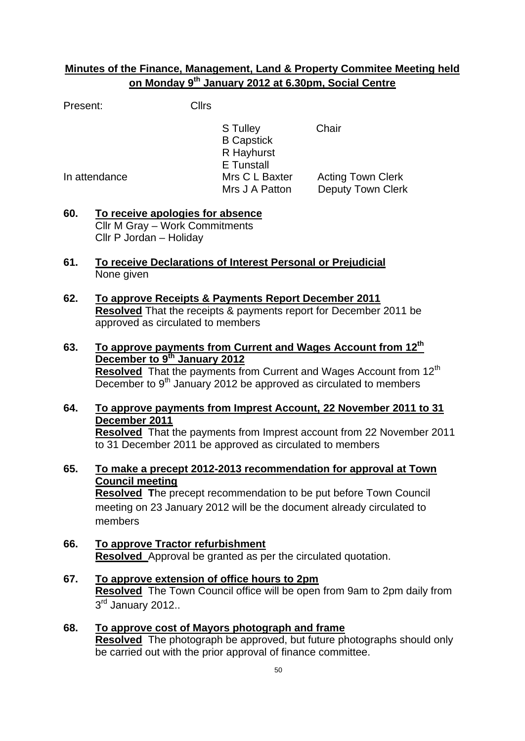## **Minutes of the Finance, Management, Land & Property Commitee Meeting held on Monday 9th January 2012 at 6.30pm, Social Centre**

Present: Cllrs

S Tulley Chair B Capstick R Hayhurst E Tunstall In attendance Mrs C L Baxter Acting Town Clerk Mrs J A Patton Deputy Town Clerk

- **60. To receive apologies for absence** Cllr M Gray – Work Commitments Cllr P Jordan – Holiday
- **61. To receive Declarations of Interest Personal or Prejudicial** None given
- **62. To approve Receipts & Payments Report December 2011 Resolved** That the receipts & payments report for December 2011 be approved as circulated to members
- **63. To approve payments from Current and Wages Account from 12th December to 9th January 2012 Resolved** That the payments from Current and Wages Account from 12<sup>th</sup> December to  $9<sup>th</sup>$  January 2012 be approved as circulated to members
- **64. To approve payments from Imprest Account, 22 November 2011 to 31 December 2011 Resolved** That the payments from Imprest account from 22 November 2011 to 31 December 2011 be approved as circulated to members
- **65. To make a precept 2012-2013 recommendation for approval at Town Council meeting Resolved T**he precept recommendation to be put before Town Council meeting on 23 January 2012 will be the document already circulated to members
- **66. To approve Tractor refurbishment Resolved** Approval be granted as per the circulated quotation.
- **67. To approve extension of office hours to 2pm Resolved** The Town Council office will be open from 9am to 2pm daily from 3<sup>rd</sup> January 2012..
- **68. To approve cost of Mayors photograph and frame Resolved** The photograph be approved, but future photographs should only be carried out with the prior approval of finance committee.